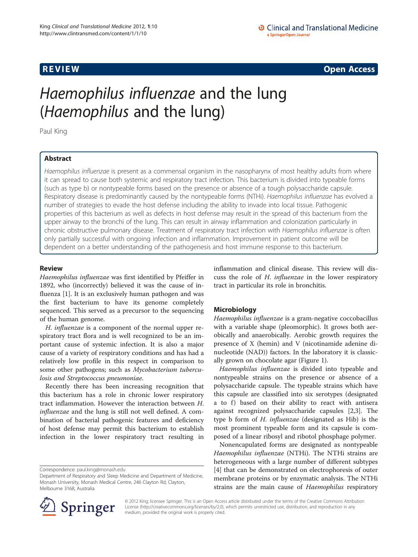R EVI EW Open Access

# Haemophilus influenzae and the lung (Haemophilus and the lung)

Paul King

# Abstract

Haemophilus influenzae is present as a commensal organism in the nasopharynx of most healthy adults from where it can spread to cause both systemic and respiratory tract infection. This bacterium is divided into typeable forms (such as type b) or nontypeable forms based on the presence or absence of a tough polysaccharide capsule. Respiratory disease is predominantly caused by the nontypeable forms (NTHi). Haemophilus influenzae has evolved a number of strategies to evade the host defense including the ability to invade into local tissue. Pathogenic properties of this bacterium as well as defects in host defense may result in the spread of this bacterium from the upper airway to the bronchi of the lung. This can result in airway inflammation and colonization particularly in chronic obstructive pulmonary disease. Treatment of respiratory tract infection with Haemophilus influenzae is often only partially successful with ongoing infection and inflammation. Improvement in patient outcome will be dependent on a better understanding of the pathogenesis and host immune response to this bacterium.

### Review

Haemophilus influenzae was first identified by Pfeiffer in 1892, who (incorrectly) believed it was the cause of influenza [\[1](#page-6-0)]. It is an exclusively human pathogen and was the first bacterium to have its genome completely sequenced. This served as a precursor to the sequencing of the human genome.

H. influenzae is a component of the normal upper respiratory tract flora and is well recognized to be an important cause of systemic infection. It is also a major cause of a variety of respiratory conditions and has had a relatively low profile in this respect in comparison to some other pathogens; such as Mycobacterium tuberculosis and Streptococcus pneumoniae.

Recently there has been increasing recognition that this bacterium has a role in chronic lower respiratory tract inflammation. However the interaction between H. influenzae and the lung is still not well defined. A combination of bacterial pathogenic features and deficiency of host defense may permit this bacterium to establish infection in the lower respiratory tract resulting in

Correspondence: [paul.king@monash.edu](mailto:paul.king@monash.edu)

inflammation and clinical disease. This review will discuss the role of H. influenzae in the lower respiratory tract in particular its role in bronchitis.

# Microbiology

Haemophilus influenzae is a gram-negative coccobacillus with a variable shape (pleomorphic). It grows both aerobically and anaerobically. Aerobic growth requires the presence of X (hemin) and V (nicotinamide adenine dinucleotide (NAD)) factors. In the laboratory it is classically grown on chocolate agar (Figure [1](#page-1-0)).

Haemophilus influenzae is divided into typeable and nontypeable strains on the presence or absence of a polysaccharide capsule. The typeable strains which have this capsule are classified into six serotypes (designated a to f) based on their ability to react with antisera against recognized polysaccharide capsules [[2,3\]](#page-6-0). The type b form of H. influenzae (designated as Hib) is the most prominent typeable form and its capsule is composed of a linear ribosyl and ribotol phosphage polymer.

Nonencapulated forms are designated as nontypeable Haemophilus influenzae (NTHi). The NTHi strains are heterogeneous with a large number of different subtypes [[4\]](#page-7-0) that can be demonstrated on electrophoresis of outer membrane proteins or by enzymatic analysis. The NTHi strains are the main cause of Haemophilus respiratory



© 2012 King; licensee Springer. This is an Open Access article distributed under the terms of the Creative Commons Attribution License [\(http://creativecommons.org/licenses/by/2.0\)](http://creativecommons.org/licenses/by/2.0), which permits unrestricted use, distribution, and reproduction in any medium, provided the original work is properly cited.

Department of Respiratory and Sleep Medicine and Department of Medicine, Monash University, Monash Medical Centre, 246 Clayton Rd, Clayton, Melbourne 3168, Australia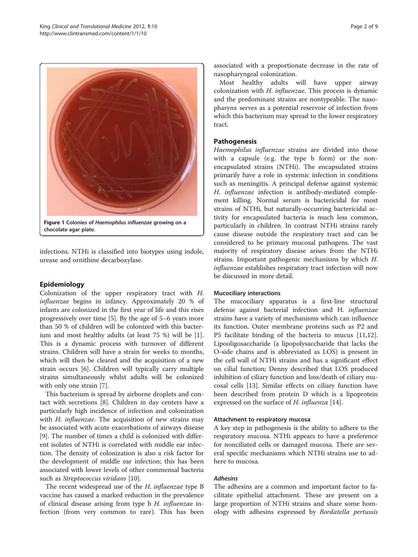<span id="page-1-0"></span>

infections. NTHi is classified into biotypes using indole, urease and ornithine decarboxylase.

# Epidemiology

Colonization of the upper respiratory tract with H. influenzae begins in infancy. Approximately 20 % of infants are colonized in the first year of life and this rises progressively over time [\[5](#page-7-0)]. By the age of 5–6 years more than 50 % of children will be colonized with this bacterium and most healthy adults (at least 75 %) will be [\[1](#page-6-0)]. This is a dynamic process with turnover of different strains. Children will have a strain for weeks to months, which will then be cleared and the acquisition of a new strain occurs [[6\]](#page-7-0). Children will typically carry multiple strains simultaneously whilst adults will be colonized with only one strain [[7\]](#page-7-0).

This bacterium is spread by airborne droplets and contact with secretions [[8\]](#page-7-0). Children in day centers have a particularly high incidence of infection and colonization with *H. influenzae*. The acquisition of new strains may be associated with acute exacerbations of airways disease [[9\]](#page-7-0). The number of times a child is colonized with different isolates of NTHi is correlated with middle ear infection. The density of colonization is also a risk factor for the development of middle ear infection; this has been associated with lower levels of other commensal bacteria such as Streptococcus viridans [\[10\]](#page-7-0).

The recent widespread use of the H. influenzae type B vaccine has caused a marked reduction in the prevalence of clinical disease arising from type b H. influenzae infection (from very common to rare). This has been associated with a proportionate decrease in the rate of nasopharyngeal colonization.

Most healthy adults will have upper airway colonization with H. influenzae. This process is dynamic and the predominant strains are nontypeable. The nasopharynx serves as a potential reservoir of infection from which this bacterium may spread to the lower respiratory tract.

#### Pathogenesis

Haemophilus influenzae strains are divided into those with a capsule (e.g. the type b form) or the nonencapsulated strains (NTHi). The encapsulated strains primarily have a role in systemic infection in conditions such as meningitis. A principal defense against systemic H. influenzae infection is antibody-mediated complement killing. Normal serum is bactericidal for most strains of NTHi, but naturally-occurring bactericidal activity for encapsulated bacteria is much less common, particularly in children. In contrast NTHi strains rarely cause disease outside the respiratory tract and can be considered to be primary mucosal pathogens. The vast majority of respiratory disease arises from the NTHi strains. Important pathogenic mechanisms by which H. influenzae establishes respiratory tract infection will now be discussed in more detail.

#### Mucociliary interactions

The mucociliary apparatus is a first-line structural defense against bacterial infection and H. influenzae strains have a variety of mechanisms which can influence its function. Outer membrane proteins such as P2 and P5 facilitate binding of the bacteria to mucus [\[11,12](#page-7-0)]. Lipooligosaccharide (a lipopolysaccharide that lacks the O-side chains and is abbreviated as LOS) is present in the cell wall of NTHi strains and has a significant effect on cilial function; Denny described that LOS produced inhibition of ciliary function and loss/death of ciliary mucosal cells [[13](#page-7-0)]. Similar effects on ciliary function have been described from protein D which is a lipoprotein expressed on the surface of H. influenza [\[14](#page-7-0)].

#### Attachment to respiratory mucosa

A key step in pathogenesis is the ability to adhere to the respiratory mucosa. NTHi appears to have a preference for nonciliated cells or damaged mucosa. There are several specific mechanisms which NTHi strains use to adhere to mucosa.

# Adhesins

The adhesins are a common and important factor to facilitate epithelial attachment. These are present on a large proportion of NTHi strains and share some homology with adhesins expressed by Bordatella pertussis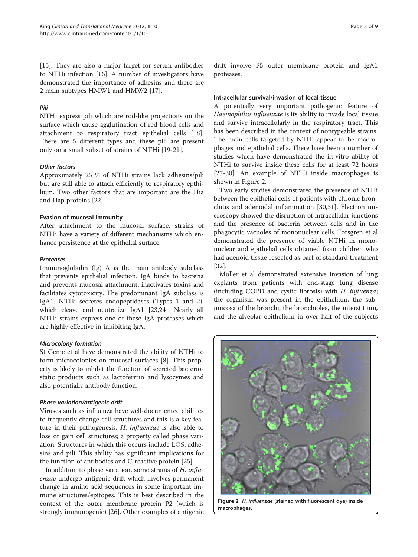[[15\]](#page-7-0). They are also a major target for serum antibodies to NTHi infection [[16\]](#page-7-0). A number of investigators have demonstrated the importance of adhesins and there are 2 main subtypes HMW1 and HMW2 [\[17\]](#page-7-0).

### Pili

NTHi express pili which are rod-like projections on the surface which cause agglutination of red blood cells and attachment to respiratory tract epithelial cells [\[18](#page-7-0)]. There are 5 different types and these pili are present only on a small subset of strains of NTHi [\[19-21](#page-7-0)].

# Other factors

Approximately 25 % of NTHi strains lack adhesins/pili but are still able to attach efficiently to respiratory epthilium. Two other factors that are important are the Hia and Hap proteins [\[22](#page-7-0)].

### Evasion of mucosal immunity

After attachment to the mucosal surface, strains of NTHi have a variety of different mechanisms which enhance persistence at the epithelial surface.

### Proteases

Immunoglobulin (Ig) A is the main antibody subclass that prevents epithelial infection. IgA binds to bacteria and prevents mucosal attachment, inactivates toxins and facilitates cytotoxicity. The predominant IgA subclass is IgA1. NTHi secretes endopeptidases (Types 1 and 2), which cleave and neutralize IgA1 [[23,24](#page-7-0)]. Nearly all NTHi strains express one of these IgA proteases which are highly effective in inhibiting IgA.

# Microcolony formation

St Geme et al have demonstrated the ability of NTHi to form microcolonies on mucosal surfaces [\[8\]](#page-7-0). This property is likely to inhibit the function of secreted bacteriostatic products such as lactoferrrin and lysozymes and also potentially antibody function.

#### Phase variation/antigenic drift

Viruses such as influenza have well-documented abilities to frequently change cell structures and this is a key feature in their pathogenesis. H. *influenzae* is also able to lose or gain cell structures; a property called phase variation. Structures in which this occurs include LOS, adhesins and pili. This ability has significant implications for the function of antibodies and C-reactive protein [[25](#page-7-0)].

In addition to phase variation, some strains of  $H$ . influenzae undergo antigenic drift which involves permanent change in amino acid sequences in some important immune structures/epitopes. This is best described in the context of the outer membrane protein P2 (which is strongly immunogenic) [\[26](#page-7-0)]. Other examples of antigenic drift involve P5 outer membrane protein and IgA1 proteases.

#### Intracellular survival/invasion of local tissue

A potentially very important pathogenic feature of Haemophilus influenzae is its ability to invade local tissue and survive intracellularly in the respiratory tract. This has been described in the context of nontypeable strains. The main cells targeted by NTHi appear to be macrophages and epithelial cells. There have been a number of studies which have demonstrated the in-vitro ability of NTHi to survive inside these cells for at least 72 hours [[27-30](#page-7-0)]. An example of NTHi inside macrophages is shown in Figure 2.

Two early studies demonstrated the presence of NTHi between the epithelial cells of patients with chronic bronchitis and adenoidal inflammation [[30,31\]](#page-7-0). Electron microscopy showed the disruption of intracellular junctions and the presence of bacteria between cells and in the phagocytic vacuoles of mononuclear cells. Forsgren et al demonstrated the presence of viable NTHi in mononuclear and epithelial cells obtained from children who had adenoid tissue resected as part of standard treatment [[32\]](#page-7-0).

Moller et al demonstrated extensive invasion of lung explants from patients with end-stage lung disease (including COPD and cystic fibrosis) with H. influenza; the organism was present in the epithelium, the submucosa of the bronchi, the bronchioles, the interstitium, and the alveolar epithelium in over half of the subjects



Figure 2 H. influenzae (stained with fluorescent dye) inside macrophages.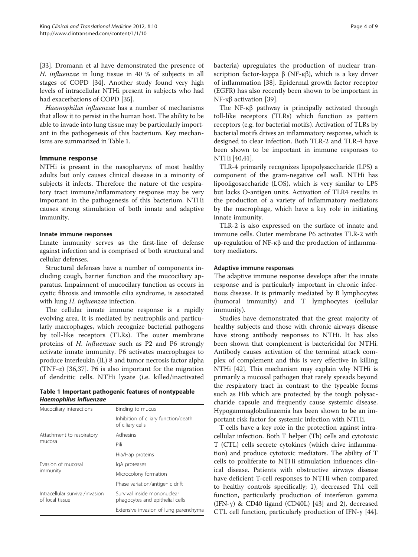[[33\]](#page-7-0). Dromann et al have demonstrated the presence of H. influenzae in lung tissue in 40 % of subjects in all stages of COPD [[34\]](#page-7-0). Another study found very high levels of intracellular NTHi present in subjects who had had exacerbations of COPD [[35\]](#page-7-0).

Haemophilus influenzae has a number of mechanisms that allow it to persist in the human host. The ability to be able to invade into lung tissue may be particularly important in the pathogenesis of this bacterium. Key mechanisms are summarized in Table 1.

### Immune response

NTHi is present in the nasopharynx of most healthy adults but only causes clinical disease in a minority of subjects it infects. Therefore the nature of the respiratory tract immune/inflammatory response may be very important in the pathogenesis of this bacterium. NTHi causes strong stimulation of both innate and adaptive immunity.

#### Innate immune responses

Innate immunity serves as the first-line of defense against infection and is comprised of both structural and cellular defenses.

Structural defenses have a number of components including cough, barrier function and the mucociliary apparatus. Impairment of mucocilary function as occurs in cystic fibrosis and immotile cilia syndrome, is associated with lung H. influenzae infection.

The cellular innate immune response is a rapidly evolving area. It is mediated by neutrophils and particularly macrophages, which recognize bacterial pathogens by toll-like receptors (TLRs). The outer membrane proteins of H. influenzae such as P2 and P6 strongly activate innate immunity. P6 activates macrophages to produce interleukin (IL) 8 and tumor necrosis factor alpha (TNF- $\alpha$ ) [[36,37\]](#page-7-0). P6 is also important for the migration of dendritic cells. NTHi lysate (i.e. killed/inactivated

#### Table 1 Important pathogenic features of nontypeable Haemophilus influenzae

| Mucociliary interactions                           | Binding to mucus                                               |
|----------------------------------------------------|----------------------------------------------------------------|
|                                                    | Inhibition of ciliary function/death<br>of ciliary cells       |
| Attachment to respiratory<br>mucosa                | Adhesins                                                       |
|                                                    | Pili                                                           |
|                                                    | Hia/Hap proteins                                               |
| Evasion of mucosal<br>immunity                     | lgA proteases                                                  |
|                                                    | Microcolony formation                                          |
|                                                    | Phase variation/antigenic drift                                |
| Intracellular survival/invasion<br>of local tissue | Survival inside mononuclear<br>phagocytes and epithelial cells |
|                                                    | Extensive invasion of lung parenchyma                          |

bacteria) upregulates the production of nuclear transcription factor-kappa β (NF-κβ), which is a key driver of inflammation [[38\]](#page-7-0). Epidermal growth factor receptor (EGFR) has also recently been shown to be important in NF-κβ activation [\[39\]](#page-7-0).

The NF-κβ pathway is principally activated through toll-like receptors (TLRs) which function as pattern receptors (e.g. for bacterial motifs). Activation of TLRs by bacterial motifs drives an inflammatory response, which is designed to clear infection. Both TLR-2 and TLR-4 have been shown to be important in immune responses to NTHi [\[40,41](#page-7-0)].

TLR-4 primarily recognizes lipopolysaccharide (LPS) a component of the gram-negative cell wall. NTHi has lipooligosaccharide (LOS), which is very similar to LPS but lacks O-antigen units. Activation of TLR4 results in the production of a variety of inflammatory mediators by the macrophage, which have a key role in initiating innate immunity.

TLR-2 is also expressed on the surface of innate and immune cells. Outer membrane P6 activates TLR-2 with up-regulation of NF-κβ and the production of inflammatory mediators.

### Adaptive immune responses

The adaptive immune response develops after the innate response and is particularly important in chronic infectious disease. It is primarily mediated by B lymphocytes (humoral immunity) and T lymphocytes (cellular immunity).

Studies have demonstrated that the great majority of healthy subjects and those with chronic airways disease have strong antibody responses to NTHi. It has also been shown that complement is bactericidal for NTHi. Antibody causes activation of the terminal attack complex of complement and this is very effective in killing NTHi [\[42](#page-7-0)]. This mechanism may explain why NTHi is primarily a mucosal pathogen that rarely spreads beyond the respiratory tract in contrast to the typeable forms such as Hib which are protected by the tough polysaccharide capsule and frequently cause systemic disease. Hypogammaglobulinaemia has been shown to be an important risk factor for systemic infection with NTHi.

T cells have a key role in the protection against intracellular infection. Both T helper (Th) cells and cytotoxic T (CTL) cells secrete cytokines (which drive inflammation) and produce cytotoxic mediators. The ability of T cells to proliferate to NTHi stimulation influences clinical disease. Patients with obstructive airways disease have deficient T-cell responses to NTHi when compared to healthy controls specifically; 1), decreased Th1 cell function, particularly production of interferon gamma (IFN- $\gamma$ ) & CD40 ligand (CD40L) [[43\]](#page-7-0) and 2), decreased CTL cell function, particularly production of IFN-γ [\[44](#page-7-0)].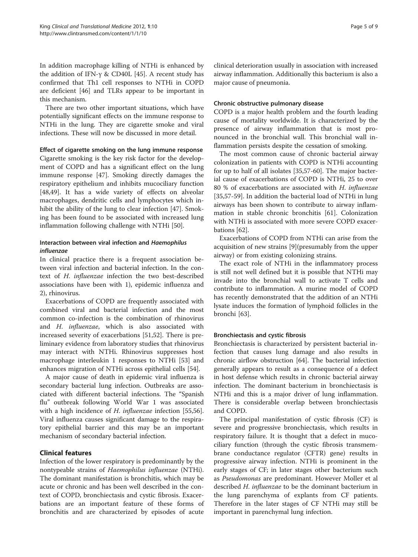In addition macrophage killing of NTHi is enhanced by the addition of IFN-γ & CD40L [\[45](#page-7-0)]. A recent study has confirmed that Th1 cell responses to NTHi in COPD are deficient [\[46\]](#page-7-0) and TLRs appear to be important in this mechanism.

There are two other important situations, which have potentially significant effects on the immune response to NTHi in the lung. They are cigarette smoke and viral infections. These will now be discussed in more detail.

Effect of cigarette smoking on the lung immune response

Cigarette smoking is the key risk factor for the development of COPD and has a significant effect on the lung immune response [\[47](#page-7-0)]. Smoking directly damages the respiratory epithelium and inhibits mucociliary function [[48,49\]](#page-8-0). It has a wide variety of effects on alveolar macrophages, dendritic cells and lymphocytes which inhibit the ability of the lung to clear infection [[47\]](#page-7-0). Smoking has been found to be associated with increased lung inflammation following challenge with NTHi [[50](#page-8-0)].

# Interaction between viral infection and Haemophilus influenzae

In clinical practice there is a frequent association between viral infection and bacterial infection. In the context of H. influenzae infection the two best-described associations have been with 1), epidemic influenza and 2), rhinovirus.

Exacerbations of COPD are frequently associated with combined viral and bacterial infection and the most common co-infection is the combination of rhinovirus and H. influenzae, which is also associated with increased severity of exacerbations [\[51,52\]](#page-8-0). There is preliminary evidence from laboratory studies that rhinovirus may interact with NTHi. Rhinovirus suppresses host macrophage interleukin 1 responses to NTHi [\[53\]](#page-8-0) and enhances migration of NTHi across epithelial cells [\[54\]](#page-8-0).

A major cause of death in epidemic viral influenza is secondary bacterial lung infection. Outbreaks are associated with different bacterial infections. The "Spanish flu" outbreak following World War 1 was associated with a high incidence of H. *influenzae* infection [\[55,56](#page-8-0)]. Viral influenza causes significant damage to the respiratory epithelial barrier and this may be an important mechanism of secondary bacterial infection.

# Clinical features

Infection of the lower respiratory is predominantly by the nontypeable strains of Haemophilus influenzae (NTHi). The dominant manifestation is bronchitis, which may be acute or chronic and has been well described in the context of COPD, bronchiectasis and cystic fibrosis. Exacerbations are an important feature of these forms of bronchitis and are characterized by episodes of acute clinical deterioration usually in association with increased airway inflammation. Additionally this bacterium is also a major cause of pneumonia.

# Chronic obstructive pulmonary disease

COPD is a major health problem and the fourth leading cause of mortality worldwide. It is characterized by the presence of airway inflammation that is most pronounced in the bronchial wall. This bronchial wall inflammation persists despite the cessation of smoking.

The most common cause of chronic bacterial airway colonization in patients with COPD is NTHi accounting for up to half of all isolates [[35,](#page-7-0)[57-60](#page-8-0)]. The major bacterial cause of exacerbations of COPD is NTHi, 25 to over 80 % of exacerbations are associated with H. influenzae [[35,](#page-7-0)[57-59\]](#page-8-0). In addition the bacterial load of NTHi in lung airways has been shown to contribute to airway inflammation in stable chronic bronchitis [[61\]](#page-8-0). Colonization with NTHi is associated with more severe COPD exacerbations [[62\]](#page-8-0).

Exacerbations of COPD from NTHi can arise from the acquisition of new strains [\[9](#page-7-0)](presumably from the upper airway) or from existing colonizing strains.

The exact role of NTHi in the inflammatory process is still not well defined but it is possible that NTHi may invade into the bronchial wall to activate T cells and contribute to inflammation. A murine model of COPD has recently demonstrated that the addition of an NTHi lysate induces the formation of lymphoid follicles in the bronchi [[63](#page-8-0)].

# Bronchiectasis and cystic fibrosis

Bronchiectasis is characterized by persistent bacterial infection that causes lung damage and also results in chronic airflow obstruction [\[64\]](#page-8-0). The bacterial infection generally appears to result as a consequence of a defect in host defense which results in chronic bacterial airway infection. The dominant bacterium in bronchiectasis is NTHi and this is a major driver of lung inflammation. There is considerable overlap between bronchiectasis and COPD.

The principal manifestation of cystic fibrosis (CF) is severe and progressive bronchiectasis, which results in respiratory failure. It is thought that a defect in mucociliary function (through the cystic fibrosis transmembrane conductance regulator (CFTR) gene) results in progressive airway infection. NTHi is prominent in the early stages of CF; in later stages other bacterium such as Pseudomonas are predominant. However Moller et al described *H. influenzae* to be the dominant bacterium in the lung parenchyma of explants from CF patients. Therefore in the later stages of CF NTHi may still be important in parenchymal lung infection.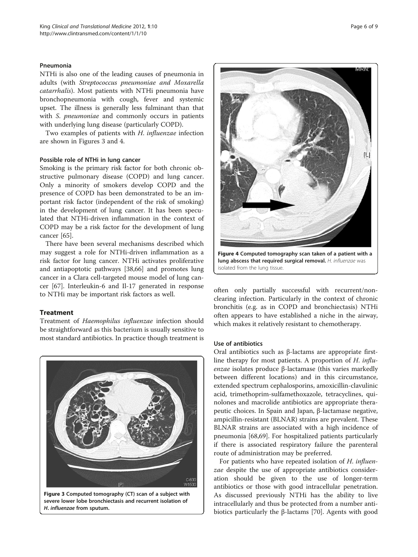### Pneumonia

NTHi is also one of the leading causes of pneumonia in adults (with Streptococcus pneumoniae and Moxarella catarrhalis). Most patients with NTHi pneumonia have bronchopneumonia with cough, fever and systemic upset. The illness is generally less fulminant than that with S. *pneumoniae* and commonly occurs in patients with underlying lung disease (particularly COPD).

Two examples of patients with H. influenzae infection are shown in Figures 3 and 4.

#### Possible role of NTHi in lung cancer

Smoking is the primary risk factor for both chronic obstructive pulmonary disease (COPD) and lung cancer. Only a minority of smokers develop COPD and the presence of COPD has been demonstrated to be an important risk factor (independent of the risk of smoking) in the development of lung cancer. It has been speculated that NTHi-driven inflammation in the context of COPD may be a risk factor for the development of lung cancer [[65](#page-8-0)].

There have been several mechanisms described which may suggest a role for NTHi-driven inflammation as a risk factor for lung cancer. NTHi activates proliferative and antiapoptotic pathways [\[38,](#page-7-0)[66\]](#page-8-0) and promotes lung cancer in a Clara cell-targeted mouse model of lung cancer [[67\]](#page-8-0). Interleukin-6 and Il-17 generated in response to NTHi may be important risk factors as well.

# **Treatment**

Treatment of Haemophilus influenzae infection should be straightforward as this bacterium is usually sensitive to most standard antibiotics. In practice though treatment is



severe lower lobe bronchiectasis and recurrent isolation of H. influenzae from sputum.



isolated from the lung tissue.

often only partially successful with recurrent/nonclearing infection. Particularly in the context of chronic bronchitis (e.g. as in COPD and bronchiectasis) NTHi often appears to have established a niche in the airway, which makes it relatively resistant to chemotherapy.

#### Use of antibiotics

Oral antibiotics such as β-lactams are appropriate firstline therapy for most patients. A proportion of H. influenzae isolates produce β-lactamase (this varies markedly between different locations) and in this circumstance, extended spectrum cephalosporins, amoxicillin-clavulinic acid, trimethoprim-sulfamethoxazole, tetracyclines, quinolones and macrolide antibiotics are appropriate therapeutic choices. In Spain and Japan, β-lactamase negative, ampicillin-resistant (BLNAR) strains are prevalent. These BLNAR strains are associated with a high incidence of pneumonia [\[68,69\]](#page-8-0). For hospitalized patients particularly if there is associated respiratory failure the parenteral route of administration may be preferred.

For patients who have repeated isolation of *H. influen*zae despite the use of appropriate antibiotics consideration should be given to the use of longer-term antibiotics or those with good intracellular penetration. As discussed previously NTHi has the ability to live intracellularly and thus be protected from a number antibiotics particularly the β-lactams [[70\]](#page-8-0). Agents with good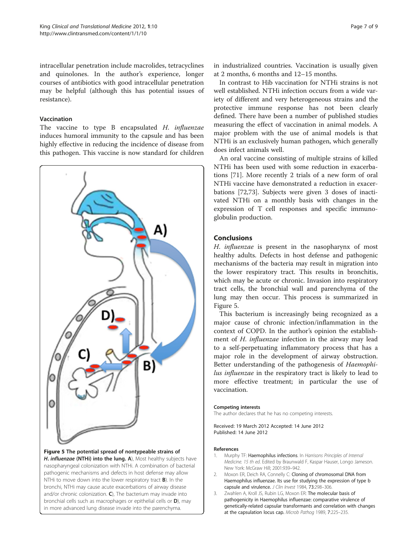<span id="page-6-0"></span>intracellular penetration include macrolides, tetracyclines and quinolones. In the author's experience, longer courses of antibiotics with good intracellular penetration may be helpful (although this has potential issues of resistance).

#### Vaccination

The vaccine to type B encapsulated H. *influenzae* induces humoral immunity to the capsule and has been highly effective in reducing the incidence of disease from this pathogen. This vaccine is now standard for children





in industrialized countries. Vaccination is usually given at 2 months, 6 months and 12–15 months.

In contrast to Hib vaccination for NTHi strains is not well established. NTHi infection occurs from a wide variety of different and very heterogeneous strains and the protective immune response has not been clearly defined. There have been a number of published studies measuring the effect of vaccination in animal models. A major problem with the use of animal models is that NTHi is an exclusively human pathogen, which generally does infect animals well.

An oral vaccine consisting of multiple strains of killed NTHi has been used with some reduction in exacerbations [[71\]](#page-8-0). More recently 2 trials of a new form of oral NTHi vaccine have demonstrated a reduction in exacerbations [\[72,73\]](#page-8-0). Subjects were given 3 doses of inactivated NTHi on a monthly basis with changes in the expression of T cell responses and specific immunoglobulin production.

# Conclusions

H. influenzae is present in the nasopharynx of most healthy adults. Defects in host defense and pathogenic mechanisms of the bacteria may result in migration into the lower respiratory tract. This results in bronchitis, which may be acute or chronic. Invasion into respiratory tract cells, the bronchial wall and parenchyma of the lung may then occur. This process is summarized in Figure 5.

This bacterium is increasingly being recognized as a major cause of chronic infection/inflammation in the context of COPD. In the author's opinion the establishment of H. influenzae infection in the airway may lead to a self-perpetuating inflammatory process that has a major role in the development of airway obstruction. Better understanding of the pathogenesis of Haemophilus influenzae in the respiratory tract is likely to lead to more effective treatment; in particular the use of vaccination.

#### Competing interests

The author declares that he has no competing interests.

Received: 19 March 2012 Accepted: 14 June 2012 Published: 14 June 2012

#### References

- 1. Murphy TF: Haemophilus infections. In Harrisons Principles of Internal Medicine. 15 th ed. Edited by Braunwald F, Kaspar Hauser, Longo Jameson. New York: McGraw Hill; 2001:939–942.
- 2. Moxon ER, Deich RA, Connelly C: Cloning of chromosomal DNA from Haemophilus influenzae. Its use for studying the expression of type b capsule and virulence. J Clin Invest 1984, 73:298-306.
- 3. Zwahlen A, Kroll JS, Rubin LG, Moxon ER: The molecular basis of pathogenicity in Haemophilus influenzae: comparative virulence of genetically-related capsular transformants and correlation with changes at the capsulation locus cap. Microb Pathog 1989, 7:225–235.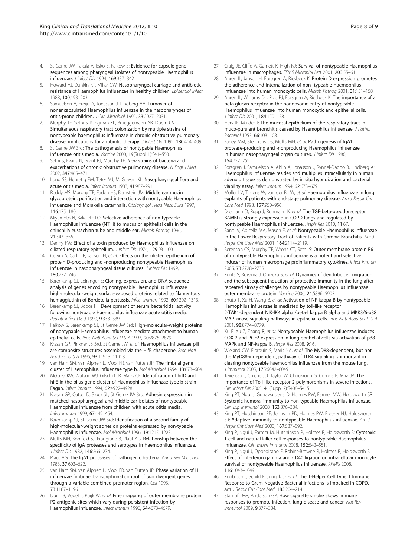- <span id="page-7-0"></span>4. St Geme JW, Takala A, Esko E, Falkow S: Evidence for capsule gene sequences among pharyngeal isolates of nontypeable Haemophilus influenzae. J Infect Dis 1994, 169:337–342.
- Howard AJ, Dunkin KT, Millar GW: Nasopharyngeal carriage and antibiotic resistance of Haemophilus influenzae in healthy children. Epidemiol Infect 1988, 100:193–203.
- 6. Samuelson A, Freijd A, Jonasson J, Lindberg AA: Turnover of nonencapsulated Haemophilus influenzae in the nasopharynges of otitis-prone children. J Clin Microbiol 1995, 33:2027–2031.
- 7. Murphy TF, Sethi S, Klingman KL, Brueggemann AB, Doern GV: Simultaneous respiratory tract colonization by multiple strains of nontypeable haemophilus influenzae in chronic obstructive pulmonary disease: implications for antibiotic therapy. J Infect Dis 1999, 180:404-409.
- 8. St Geme JW 3rd: The pathogenesis of nontypable Haemophilus influenzae otitis media. Vaccine 2000, 19(Suppl 1):S41–S50.
- 9. Sethi S, Evans N, Grant BJ, Murphy TF: New strains of bacteria and exacerbations of chronic obstructive pulmonary disease. N Engl J Med 2002, 347:465–471.
- 10. Long SS, Henretig FM, Teter MJ, McGowan KL: Nasopharyngeal flora and acute otitis media. Infect Immun 1983, 41:987–991.
- 11. Reddy MS, Murphy TF, Faden HS, Bernstein JM: Middle ear mucin glycoprotein: purification and interaction with nontypable Haemophilus influenzae and Moraxella catarrhalis. Otolaryngol Head Neck Surg 1997, 116:175–180.
- 12. Miyamoto N, Bakaletz LO: Selective adherence of non-typeable Haemophilus influenzae (NTHi) to mucus or epithelial cells in the chinchilla eustachian tube and middle ear. Microb Pathog 1996, 21:343–356.
- 13. Denny FW: Effect of a toxin produced by Haemophilus influenzae on ciliated respiratory epithelium. J Infect Dis 1974, 129:93–100.
- 14. Cervin A, Carl n B, Janson H, et al: Effects on the ciliated epithelium of protein D-producing and -nonproducing nontypeable Haemophilus influenzae in nasopharyngeal tissue cultures. J Infect Dis 1999, 180:737–746.
- 15. Barenkamp SJ, Leininger E: Cloning, expression, and DNA sequence analysis of genes encoding nontypeable Haemophilus influenzae high-molecular-weight surface-exposed proteins related to filamentous hemagglutinin of Bordetella pertussis. Infect Immun 1992, 60:1302–1313.
- 16. Barenkamp SJ, Bodor FF: Development of serum bactericidal activity following nontypable Haemophilus influenzae acute otitis media. Pediatr Infect Dis J 1990, 9:333–339.
- 17. Falkow S, Barenkamp SJ, St Geme JW 3rd: High-molecular-weight proteins of nontypable Haemophilus influenzae mediate attachment to human epithelial cells. Proc Natl Acad Sci U S A 1993, 90:2875–2879.
- 18. Krasan GP, Pinkner JS 3rd, St Geme JW, et al: Haemophilus influenzae pili are composite structures assembled via the HifB chaperone. Proc Natl Acad Sci U S A 1996, 93:11913–11918.
- 19. van Ham SM, van Alphen L, Mooi FR, van Putten JP: The fimbrial gene cluster of Haemophilus influenzae type b. Mol Microbiol 1994, 13:673–684.
- 20. McCrea KW, Watson WJ, Gilsdorf JR, Marrs CF: Identification of hifD and hifE in the pilus gene cluster of Haemophilus influenzae type b strain Eagan. Infect Immun 1994, 62:4922–4928.
- 21. Krasan GP, Cutter D, Block SL, St Geme JW 3rd: Adhesin expression in matched nasopharyngeal and middle ear isolates of nontypeable Haemophilus influenzae from children with acute otitis media. Infect Immun 1999, 67:449–454.
- 22. Barenkamp SJ, St Geme JW 3rd: Identification of a second family of high-molecular-weight adhesion proteins expressed by non-typable Haemophilus influenzae. Mol Microbiol 1996, 19:1215–1223.
- 23. Mulks MH, Kornfeld SJ, Frangione B, Plaut AG: Relationship between the specificity of IgA proteases and serotypes in Haemophilus influenzae. J Infect Dis 1982, 146:266–274.
- 24. Plaut AG: The IgA1 proteases of pathogenic bacteria. Annu Rev Microbiol 1983, 37:603–622.
- 25. van Ham SM, van Alphen L, Mooi FR, van Putten JP: Phase variation of H. influenzae fimbriae: transcriptional control of two divergent genes through a variable combined promoter region. Cell 1993, 73:1187–1196.
- 26. Duim B, Vogel L, Puijk W, et al: Fine mapping of outer membrane protein P2 antigenic sites which vary during persistent infection by Haemophilus influenzae. Infect Immun 1996, 64:4673–4679.
- 27. Craig JE, Cliffe A, Garnett K, High NJ: Survival of nontypeable Haemophilus influenzae in macrophages. FEMS Microbiol Lett 2001, 203:55–61.
- 28. Ahren IL, Janson H, Forsgren A, Riesbeck K: Protein D expression promotes the adherence and internalization of non- typeable Haemophilus influenzae into human monocytic cells. Microb Pathog 2001, 31:151–158.
- 29. Ahren IL, Williams DL, Rice PJ, Forsgren A, Riesbeck K: The importance of a beta-glucan receptor in the nonopsonic entry of nontypeable Haemophilus influenzae into human monocytic and epithelial cells. J Infect Dis 2001, 184:150–158.
- 30. Hers JF, Mulder J: The mucosal epithelium of the respiratory tract in muco-purulent bronchitis caused by Haemophilus influenzae. J Pathol Bacteriol 1953, 66:103–108.
- 31. Farley MM, Stephens DS, Mulks MH, et al: Pathogenesis of IgA1 protease-producing and -nonproducing Haemophilus influenzae in human nasopharyngeal organ cultures. J Infect Dis 1986, 154:752–759.
- 32. Forsgren J, Samuelson A, Ahlin A, Jonasson J, Rynnel-Dagoo B, Lindberg A: Haemophilus influenzae resides and multiplies intracellularly in human adenoid tissue as demonstrated by in situ hybridization and bacterial viability assay. Infect Immun 1994, 62:673–679.
- 33. Moller LV, Timens W, van der Bij W, et al: Haemophilus influenzae in lung explants of patients with end-stage pulmonary disease. Am J Respir Crit Care Med 1998, 157:950–956.
- 34. Dromann D, Rupp J, Rohmann K, et al: The TGF-beta-pseudoreceptor BAMBI is strongly expressed in COPD lungs and regulated by nontypeable Haemophilus influenzae. Respir Res 2010, 11:67.
- Bandi V, Apicella MA, Mason E, et al: Nontypeable Haemophilus influenzae in the Lower Respiratory Tract of Patients with Chronic Bronchitis. Am J Respir Crit Care Med 2001, 164:2114–2119.
- 36. Berenson CS, Murphy TF, Wrona CT, Sethi S: Outer membrane protein P6 of nontypeable Haemophilus influenzae is a potent and selective inducer of human macrophage proinflammatory cytokines. Infect Immun 2005, 73:2728–2735.
- 37. Kurita S, Koyama J, Onizuka S, et al: Dynamics of dendritic cell migration and the subsequent induction of protective immunity in the lung after repeated airway challenges by nontypeable Haemophilus influenzae outer membrane protein. Vaccine 2006, 24:5896–5903.
- 38. Shuto T, Xu H, Wang B, et al: Activation of NF-kappa B by nontypeable Hemophilus influenzae is mediated by toll-like receptor 2-TAK1-dependent NIK-IKK alpha /beta-I kappa B alpha and MKK3/6-p38 MAP kinase signaling pathways in epithelial cells. Proc Natl Acad Sci U S A 2001, 98:8774–8779.
- 39. Xu F, Xu Z, Zhang R, et al: Nontypeable Haemophilus influenzae induces COX-2 and PGE2 expression in lung epithelial cells via activation of p38 MAPK and NF-kappa B. Respir Res 2008, 9:16.
- 40. Wieland CW, Florquin S, Maris NA, et al: The MyD88-dependent, but not the MyD88-independent, pathway of TLR4 signaling is important in clearing nontypeable haemophilus influenzae from the mouse lung. J Immunol 2005, 175:6042–6049.
- 41. Texereau J, Chiche JD, Taylor W, Choukroun G, Comba B, Mira JP: The importance of Toll-like receptor 2 polymorphisms in severe infections. Clin Infect Dis 2005, 41(Suppl 7):S408–S415.
- 42. King PT, Ngui J, Gunawardena D, Holmes PW, Farmer MW, Holdsworth SR: Systemic humoral immunity to non-typeable Haemophilus influenzae. Clin Exp Immunol 2008, 153:376–384.
- 43. King PT, Hutchinson PE, Johnson PD, Holmes PW, Freezer NJ, Holdsworth SR: Adaptive immunity to nontypeable Haemophilus influenzae. Am J Respir Crit Care Med 2003, 167:587–592.
- 44. King P, Ngui J, Farmer M, Hutchinson P, Holmes P, Holdsworth S: Cytotoxic T cell and natural killer cell responses to nontypeable Haemophilus influenzae. Clin Experi Immunol 2008, 152:542–551.
- 45. King P, Ngui J, Oppedisano F, Robins-Browne R, Holmes P, Holdsworth S: Effect of interferon gamma and CD40 ligation on intracellular monocyte survival of nontypeable Haemophilus influenzae. APMIS 2008, 116:1043–1049.
- 46. Knobloch J, Schild K, Jungck D, et al: The T-Helper Cell Type 1 Immune Response to Gram-Negative Bacterial Infections Is Impaired in COPD. Am J Respir Crit Care Med, 183:204-214.
- 47. Stampfli MR, Anderson GP: How cigarette smoke skews immune responses to promote infection, lung disease and cancer. Nat Rev Immunol 2009, 9:377–384.